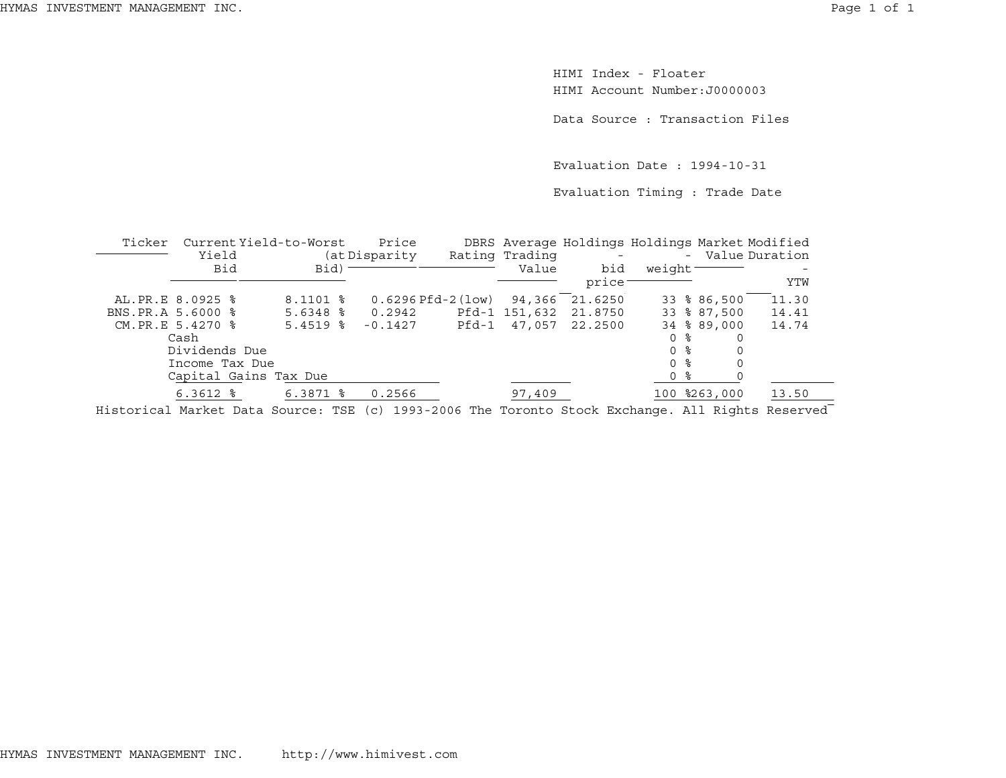HIMI Index - FloaterHIMI Account Number:J0000003

Data Source : Transaction Files

Evaluation Date : 1994-10-31

Evaluation Timing : Trade Date

| Ticker            |                  | Current Yield-to-Worst | Price                |       |                | DBRS Average Holdings Holdings Market Modified |                     |              |                  |
|-------------------|------------------|------------------------|----------------------|-------|----------------|------------------------------------------------|---------------------|--------------|------------------|
|                   | Yield            |                        | (at Disparity)       |       | Rating Trading | $\overline{\phantom{0}}$                       |                     |              | - Value Duration |
|                   | <b>Bid</b>       | Bid)                   |                      |       | Value          | bid                                            | weight <sup>-</sup> |              |                  |
|                   |                  |                        |                      |       |                | price                                          |                     |              | YTW              |
|                   | AL.PR.E 8.0925 % | $8.1101$ $8$           | $0.6296$ Pfd-2 (low) |       | 94,366         | 21.6250                                        |                     | 33 % 86,500  | 11.30            |
| BNS.PR.A 5.6000 % |                  | $5.6348$ %             | 0.2942               |       | Pfd-1 151,632  | 21.8750                                        |                     | 33 % 87,500  | 14.41            |
|                   | CM.PR.E 5.4270 % | $5.4519$ $8$           | $-0.1427$            | Pfd-1 | 47,057         | 22.2500                                        |                     | 34 % 89,000  | 14.74            |
|                   | Cash             |                        |                      |       |                |                                                | 0 %                 |              |                  |
|                   | Dividends Due    |                        |                      |       |                |                                                | 0 <sup>8</sup>      |              |                  |
|                   | Income Tax Due   |                        |                      |       |                |                                                | 0 %                 |              |                  |
|                   |                  | Capital Gains Tax Due  |                      |       |                |                                                | 0 %                 |              |                  |
|                   | $6.3612$ $%$     | $6.3871$ $\frac{6}{3}$ | 0.2566               |       | 97,409         |                                                |                     | 100 %263,000 | 13.50            |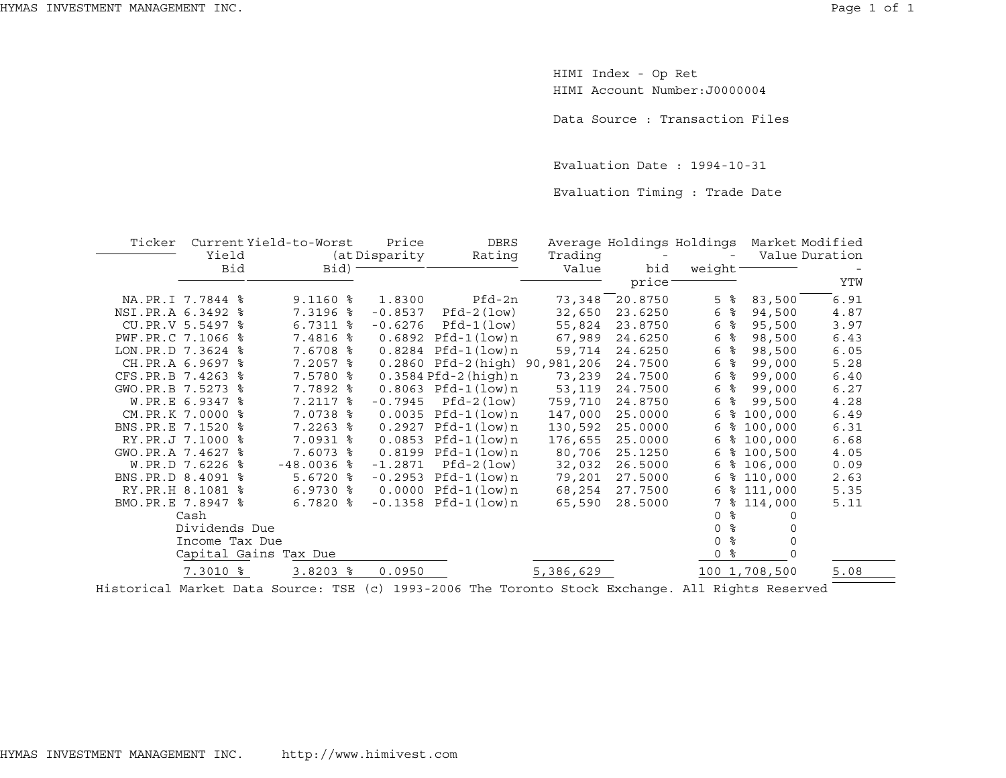HIMI Index - Op Ret HIMI Account Number:J0000004

Data Source : Transaction Files

Evaluation Date : 1994-10-31

Evaluation Timing : Trade Date

| Ticker              |                  | Current Yield-to-Worst | Price                   | <b>DBRS</b>                   |           |         | Average Holdings Holdings | Market Modified |      |
|---------------------|------------------|------------------------|-------------------------|-------------------------------|-----------|---------|---------------------------|-----------------|------|
|                     | Yield            |                        | (at Disparity<br>Rating |                               | Trading   |         |                           | Value Duration  |      |
|                     | Bid              | Bid)                   |                         |                               | Value     | bid     | weight <sup>-</sup>       |                 |      |
|                     |                  |                        |                         |                               |           | price   |                           |                 | YTW  |
|                     | NA.PR.I 7.7844 % | $9.1160$ %             | 1.8300                  | Pfd-2n                        | 73,348    | 20.8750 | ႜ<br>5                    | 83,500          | 6.91 |
| NSI.PR.A 6.3492 %   |                  | 7.3196 %               | $-0.8537$               | $Pfd-2 (low)$                 | 32,650    | 23.6250 | ႜ<br>6                    | 94,500          | 4.87 |
|                     | CU.PR.V 5.5497 % | $6.7311$ $8$           | $-0.6276$               | $Pfd-1 (low)$                 | 55,824    | 23.8750 | ႜ<br>6                    | 95,500          | 3.97 |
| PWF.PR.C 7.1066 %   |                  | 7.4816 %               | 0.6892                  | Pfd-1(low)n                   | 67,989    | 24.6250 | $\%$<br>6                 | 98,500          | 6.43 |
| LON. PR. D 7.3624 % |                  | 7.6708<br>ႜ            |                         | $0.8284$ Pfd-1 $(low)$ n      | 59,714    | 24.6250 | ి<br>6                    | 98,500          | 6.05 |
|                     | CH.PR.A 6.9697 % | $7.2057$ $\frac{6}{5}$ |                         | 0.2860 Pfd-2(high) 90,981,206 |           | 24.7500 | ಿ<br>6                    | 99,000          | 5.28 |
| CFS.PR.B 7.4263 %   |                  | 7.5780 %               |                         | $0.3584$ Pfd-2 (high) $n$     | 73,239    | 24.7500 | နွ<br>6                   | 99,000          | 6.40 |
| GWO.PR.B 7.5273 %   |                  | 7.7892 %               |                         | $0.8063$ Pfd-1 $(low)$ n      | 53,119    | 24.7500 | ႜ<br>6                    | 99,000          | 6.27 |
|                     | W.PR.E 6.9347 %  | 7.2117 %               | $-0.7945$               | $Pfd-2 (low)$                 | 759,710   | 24.8750 | ႜ<br>6                    | 99,500          | 4.28 |
|                     | CM.PR.K 7.0000 % | 7.0738 %               | 0.0035                  | Pfd-1(low)n                   | 147,000   | 25.0000 | 6                         | \$100,000       | 6.49 |
| BNS. PR. E 7.1520 % |                  | $7.2263$ $\frac{6}{5}$ | 0.2927                  | Pfd-1(low)n                   | 130,592   | 25.0000 | ႜ<br>6                    | 100,000         | 6.31 |
|                     | RY.PR.J 7.1000 % | 7.0931 %               |                         | $0.0853$ Pfd-1 $(low)$ n      | 176,655   | 25,0000 | 6                         | \$100,000       | 6.68 |
| GWO.PR.A 7.4627 %   |                  | 7.6073 %               | 0.8199                  | Pfd-1(low)n                   | 80,706    | 25.1250 | 6                         | \$100,500       | 4.05 |
|                     | W.PR.D 7.6226 %  | $-48.0036$ %           | $-1.2871$               | $Pfd-2 (low)$                 | 32,032    | 26.5000 | 6                         | \$106,000       | 0.09 |
| BNS.PR.D 8.4091 %   |                  | $5.6720$ %             |                         | $-0.2953$ Pfd $-1$ (low)n     | 79,201    | 27.5000 | 6                         | \$110,000       | 2.63 |
|                     | RY.PR.H 8.1081 % | $6.9730$ $8$           |                         | $0.0000$ Pfd-1 $(low)n$       | 68,254    | 27.7500 |                           | $6$ % 111,000   | 5.35 |
| BMO.PR.E 7.8947 %   |                  | $6.7820$ %             |                         | $-0.1358$ Pfd $-1$ (low)n     | 65,590    | 28.5000 |                           | 7 % 114,000     | 5.11 |
|                     | Cash             |                        |                         |                               |           |         | ⊱<br>$\Omega$             |                 |      |
|                     | Dividends Due    |                        |                         |                               |           |         | နွ<br>$\Omega$            |                 |      |
|                     | Income Tax Due   |                        |                         |                               |           |         | ್ಠಿ<br>$\Omega$           |                 |      |
|                     |                  | Capital Gains Tax Due  |                         |                               |           |         | ႜ<br>$\Omega$             |                 |      |
|                     | 7.3010 %         | $3.8203$ $8$           | 0.0950                  |                               | 5,386,629 |         |                           | 100 1,708,500   | 5.08 |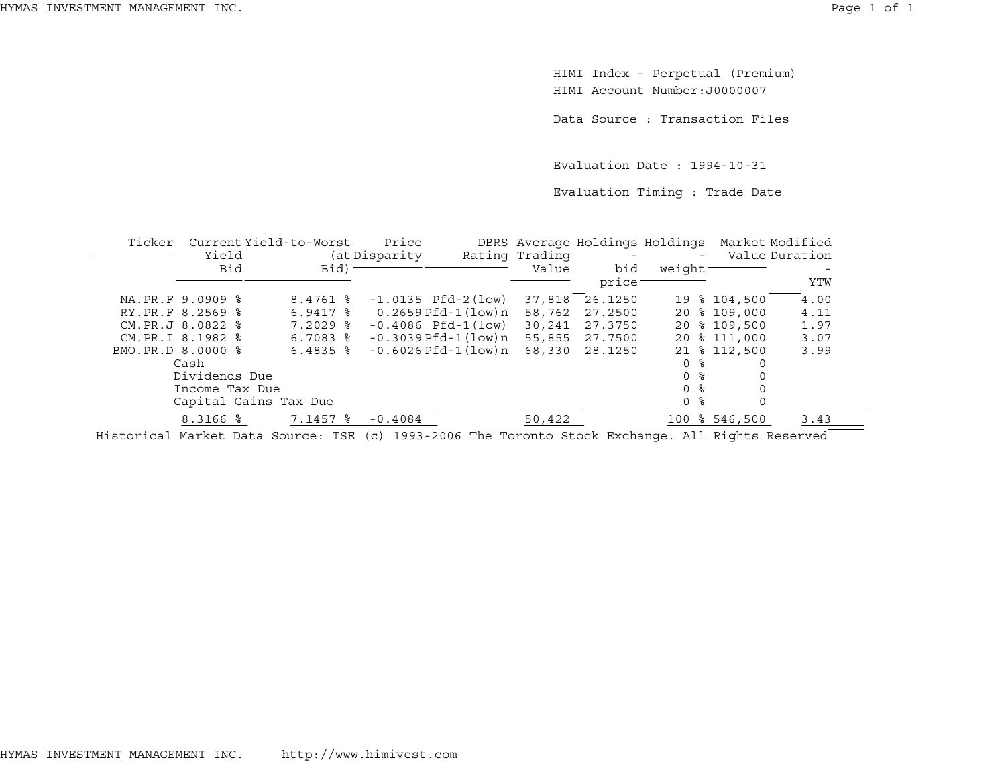HIMI Index - Perpetual (Premium) HIMI Account Number:J0000007

Data Source : Transaction Files

Evaluation Date : 1994-10-31

Evaluation Timing : Trade Date

| Ticker |                   | Current Yield-to-Worst | Price          |                            |                | DBRS Average Holdings Holdings |                     |               | Market Modified |
|--------|-------------------|------------------------|----------------|----------------------------|----------------|--------------------------------|---------------------|---------------|-----------------|
|        | Yield             |                        | (at Disparity) |                            | Rating Trading |                                |                     |               | Value Duration  |
|        | <b>Bid</b>        | Bid)                   |                |                            | Value          | bid                            | weight <sup>-</sup> |               |                 |
|        |                   |                        |                |                            |                | price                          |                     |               | YTW             |
|        | NA.PR.F 9.0909 %  | $8.4761$ %             |                | $-1.0135$ Pfd $-2$ (low)   | 37,818         | 26.1250                        |                     | 19 % 104,500  | 4.00            |
|        | RY.PR.F 8.2569 %  | $6.9417$ $\frac{6}{7}$ |                | 0.2659 Pfd-1(low)n         | 58,762         | 27.2500                        |                     | 20 % 109,000  | 4.11            |
|        | CM. PR.J 8.0822 % | $7.2029$ $\frac{6}{5}$ |                | $-0.4086$ Pfd $-1(1ow)$    | 30,241         | 27.3750                        |                     | 20 % 109,500  | 1.97            |
|        | CM.PR.I 8.1982 %  | $6.7083$ $8$           |                | $-0.3039$ Pfd $-1$ (low) n | 55,855         | 27.7500                        |                     | 20 % 111,000  | 3.07            |
|        | BMO.PR.D 8.0000 % | $6.4835$ $\frac{6}{3}$ |                | $-0.6026$ Pfd $-1$ (low) n | 68,330         | 28.1250                        |                     | 21 % 112,500  | 3.99            |
|        | Cash              |                        |                |                            |                |                                | 0 %                 |               |                 |
|        | Dividends Due     |                        |                |                            |                |                                | 0 %                 |               |                 |
|        | Income Tax Due    |                        |                |                            |                |                                | 0 <sup>8</sup>      |               |                 |
|        |                   | Capital Gains Tax Due  |                |                            |                |                                | 0 %                 |               |                 |
|        | 8.3166 %          | 7.1457 %               | $-0.4084$      |                            | 50,422         |                                |                     | 100 % 546,500 | 3.43            |
|        |                   |                        |                |                            |                |                                |                     |               |                 |